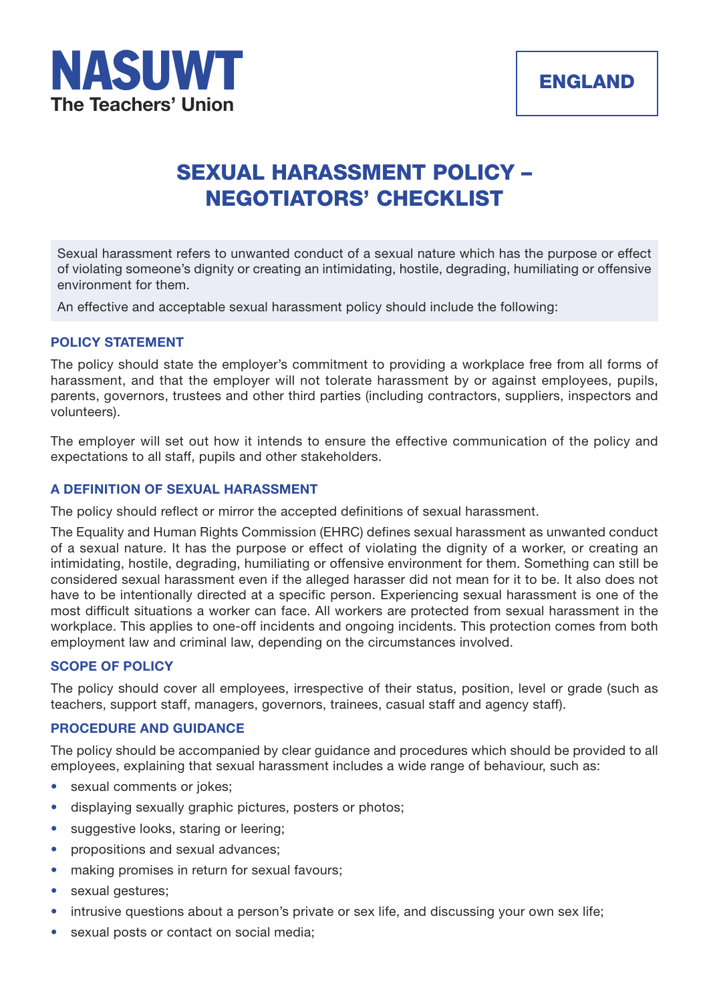

# **SEXUAL HARASSMENT POLICY – NEGOTIATORS' CHECKLIST**

Sexual harassment refers to unwanted conduct of a sexual nature which has the purpose or effect of violating someone's dignity or creating an intimidating, hostile, degrading, humiliating or offensive environment for them.

An effective and acceptable sexual harassment policy should include the following:

## **POLICY STATEMENT**

The policy should state the employer's commitment to providing a workplace free from all forms of harassment, and that the employer will not tolerate harassment by or against employees, pupils, parents, governors, trustees and other third parties (including contractors, suppliers, inspectors and volunteers).

The employer will set out how it intends to ensure the effective communication of the policy and expectations to all staff, pupils and other stakeholders.

## **A DEFINITION OF SEXUAL HARASSMENT**

The policy should reflect or mirror the accepted definitions of sexual harassment.

The Equality and Human Rights Commission (EHRC) defines sexual harassment as unwanted conduct of a sexual nature. It has the purpose or effect of violating the dignity of a worker, or creating an intimidating, hostile, degrading, humiliating or offensive environment for them. Something can still be considered sexual harassment even if the alleged harasser did not mean for it to be. It also does not have to be intentionally directed at a specific person. Experiencing sexual harassment is one of the most difficult situations a worker can face. All workers are protected from sexual harassment in the workplace. This applies to one-off incidents and ongoing incidents. This protection comes from both employment law and criminal law, depending on the circumstances involved.

## **SCOPE OF POLICY**

The policy should cover all employees, irrespective of their status, position, level or grade (such as teachers, support staff, managers, governors, trainees, casual staff and agency staff).

### **PROCEDURE AND GUIDANCE**

The policy should be accompanied by clear guidance and procedures which should be provided to all employees, explaining that sexual harassment includes a wide range of behaviour, such as:

- sexual comments or jokes;
- displaying sexually graphic pictures, posters or photos;
- suggestive looks, staring or leering;
- propositions and sexual advances;
- making promises in return for sexual favours;
- sexual gestures;
- intrusive questions about a person's private or sex life, and discussing your own sex life;
- sexual posts or contact on social media;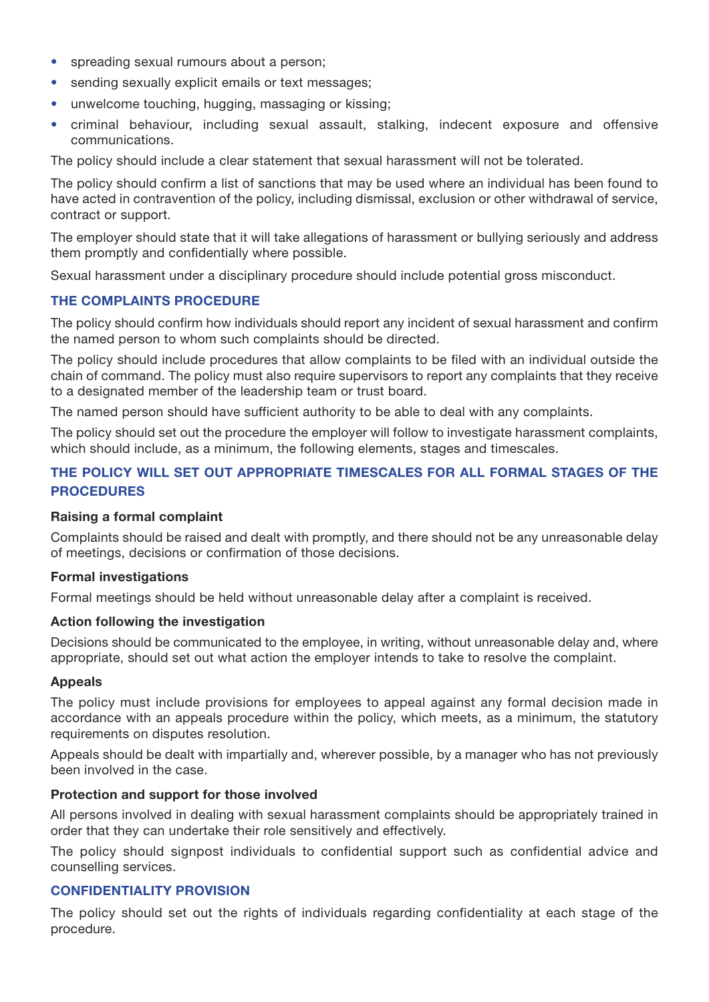- spreading sexual rumours about a person;
- sending sexually explicit emails or text messages;
- unwelcome touching, hugging, massaging or kissing;
- criminal behaviour, including sexual assault, stalking, indecent exposure and offensive communications.

The policy should include a clear statement that sexual harassment will not be tolerated.

The policy should confirm a list of sanctions that may be used where an individual has been found to have acted in contravention of the policy, including dismissal, exclusion or other withdrawal of service, contract or support.

The employer should state that it will take allegations of harassment or bullying seriously and address them promptly and confidentially where possible.

Sexual harassment under a disciplinary procedure should include potential gross misconduct.

## **THE COMPLAINTS PROCEDURE**

The policy should confirm how individuals should report any incident of sexual harassment and confirm the named person to whom such complaints should be directed.

The policy should include procedures that allow complaints to be filed with an individual outside the chain of command. The policy must also require supervisors to report any complaints that they receive to a designated member of the leadership team or trust board.

The named person should have sufficient authority to be able to deal with any complaints.

The policy should set out the procedure the employer will follow to investigate harassment complaints, which should include, as a minimum, the following elements, stages and timescales.

## **THE POLICY WILL SET OUT APPROPRIATE TIMESCALES FOR ALL FORMAL STAGES OF THE PROCEDURES**

#### **Raising a formal complaint**

Complaints should be raised and dealt with promptly, and there should not be any unreasonable delay of meetings, decisions or confirmation of those decisions.

#### **Formal investigations**

Formal meetings should be held without unreasonable delay after a complaint is received.

#### **Action following the investigation**

Decisions should be communicated to the employee, in writing, without unreasonable delay and, where appropriate, should set out what action the employer intends to take to resolve the complaint.

#### **Appeals**

The policy must include provisions for employees to appeal against any formal decision made in accordance with an appeals procedure within the policy, which meets, as a minimum, the statutory requirements on disputes resolution.

Appeals should be dealt with impartially and, wherever possible, by a manager who has not previously been involved in the case.

#### **Protection and support for those involved**

All persons involved in dealing with sexual harassment complaints should be appropriately trained in order that they can undertake their role sensitively and effectively.

The policy should signpost individuals to confidential support such as confidential advice and counselling services.

## **CONFIDENTIALITY PROVISION**

The policy should set out the rights of individuals regarding confidentiality at each stage of the procedure.